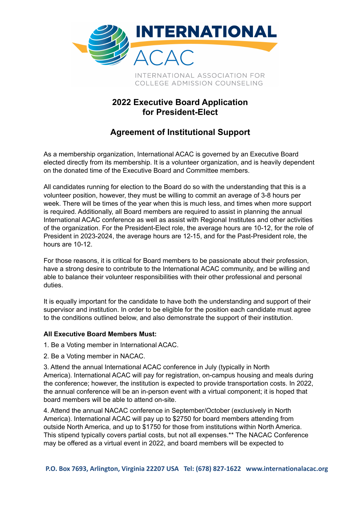

## **2022 Executive Board Application for President-Elect**

## **Agreement of Institutional Support**

As a membership organization, International ACAC is governed by an Executive Board elected directly from its membership. It is a volunteer organization, and is heavily dependent on the donated time of the Executive Board and Committee members.

All candidates running for election to the Board do so with the understanding that this is a volunteer position, however, they must be willing to commit an average of 3-8 hours per week. There will be times of the year when this is much less, and times when more support is required. Additionally, all Board members are required to assist in planning the annual International ACAC conference as well as assist with Regional Institutes and other activities of the organization. For the President-Elect role, the average hours are 10-12, for the role of President in 2023-2024, the average hours are 12-15, and for the Past-President role, the hours are 10-12.

For those reasons, it is critical for Board members to be passionate about their profession, have a strong desire to contribute to the International ACAC community, and be willing and able to balance their volunteer responsibilities with their other professional and personal duties.

It is equally important for the candidate to have both the understanding and support of their supervisor and institution. In order to be eligible for the position each candidate must agree to the conditions outlined below, and also demonstrate the support of their institution.

## **All Executive Board Members Must:**

1. Be a Voting member in International ACAC.

2. Be a Voting member in NACAC.

3. Attend the annual International ACAC conference in July (typically in North America). International ACAC will pay for registration, on-campus housing and meals during the conference; however, the institution is expected to provide transportation costs. In 2022, the annual conference will be an in-person event with a virtual component; it is hoped that board members will be able to attend on-site.

4. Attend the annual NACAC conference in September/October (exclusively in North America). International ACAC will pay up to \$2750 for board members attending from outside North America, and up to \$1750 for those from institutions within North America. This stipend typically covers partial costs, but not all expenses.\*\* The NACAC Conference may be offered as a virtual event in 2022, and board members will be expected to